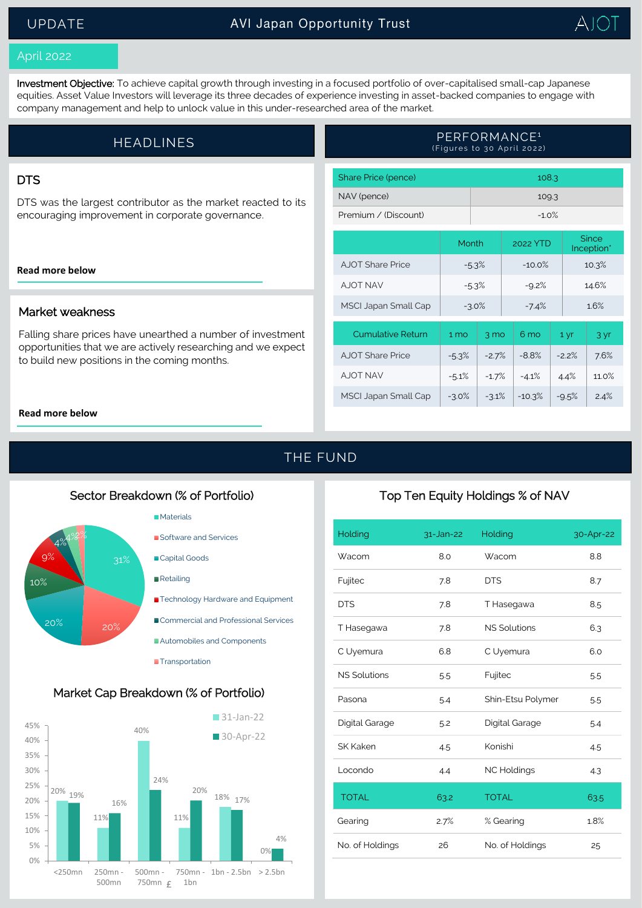# UPDATE



### April 2022

Investment Objective: To achieve capital growth through investing in a focused portfolio of over-capitalised small-cap Japanese equities. Asset Value Investors will leverage its three decades of experience investing in asset-backed companies to engage with company management and help to unlock value in this under-researched area of the market.

| <b>HEADLINES</b> | PERFORMANCE <sup>1</sup><br>(Figures to 30 April 2022) |
|------------------|--------------------------------------------------------|
|                  |                                                        |

### **DTS**

DTS was the largest contributor as the market reacted to its encouraging improvement in corporate governance.

#### **[Read more below](#page-1-0)**

### Market weakness

Falling share prices have unearthed a number of investment opportunities that we are actively researching and we expect to build new positions in the coming months.

| Share Price (pence)  | 108.3    |
|----------------------|----------|
| NAV (pence)          | 109.3    |
| Premium / (Discount) | $-1.0\%$ |

|                             | Month           |                | 2022 YTD        |         | Since<br>Inception* |       |
|-----------------------------|-----------------|----------------|-----------------|---------|---------------------|-------|
| AJOT Share Price            | $-5.3%$         |                | $-10.0\%$       |         | 10.3%               |       |
| A JOT NAV                   | $-5.3%$         |                | $-9.2%$         |         | 14.6%               |       |
| <b>MSCI Japan Small Cap</b> | $-3.0%$         |                | $-7.4%$         |         | 16%                 |       |
| <b>Cumulative Return</b>    | 1 <sub>mo</sub> | $3 \text{ mo}$ | 6 <sub>mo</sub> | 1 yr    |                     | 3 yr  |
| AJOT Share Price            | $-5.3%$         | $-2.7%$        | $-8.8%$         | $-22\%$ |                     | 7.6%  |
| A JOT NAV                   | $-5.1%$         | $-1.7%$        | $-4.1%$         | 4.4%    |                     | 11.0% |
| <b>MSCI Japan Small Cap</b> | $-3.0%$         | $-3.1%$        | $-10.3%$        | $-9.5%$ |                     | 2.4%  |

#### **[Read more below](#page-1-0)**

THE FUND

### Sector Breakdown (% of Portfolio)







# Top Ten Equity Holdings % of NAV

| Holding             | $31$ -Jan-22 | Holding             | 30-Apr-22 |
|---------------------|--------------|---------------------|-----------|
| Wacom               | 8.0          | Wacom               | 8.8       |
| Fujitec             | 7.8          | <b>DTS</b>          | 8.7       |
| <b>DTS</b>          | 7.8          | T Hasegawa          | 8.5       |
| T Hasegawa          | 7.8          | <b>NS Solutions</b> | 6.3       |
| C Uyemura           | 6.8          | C Uyemura           | 6.0       |
| <b>NS Solutions</b> | 5.5          | Fujitec             | 5.5       |
| Pasona              | 5.4          | Shin-Etsu Polymer   | 5.5       |
| Digital Garage      | 5.2          | Digital Garage      | 5.4       |
| <b>SK Kaken</b>     | 4.5          | Konishi             | 4.5       |
| Locondo             | 4.4          | <b>NC Holdings</b>  | 4.3       |
| <b>TOTAL</b>        | 63.2         | <b>TOTAL</b>        | 63.5      |
| Gearing             | 2.7%         | % Gearing           | 1.8%      |
| No. of Holdings     | 26           | No. of Holdings     | 25        |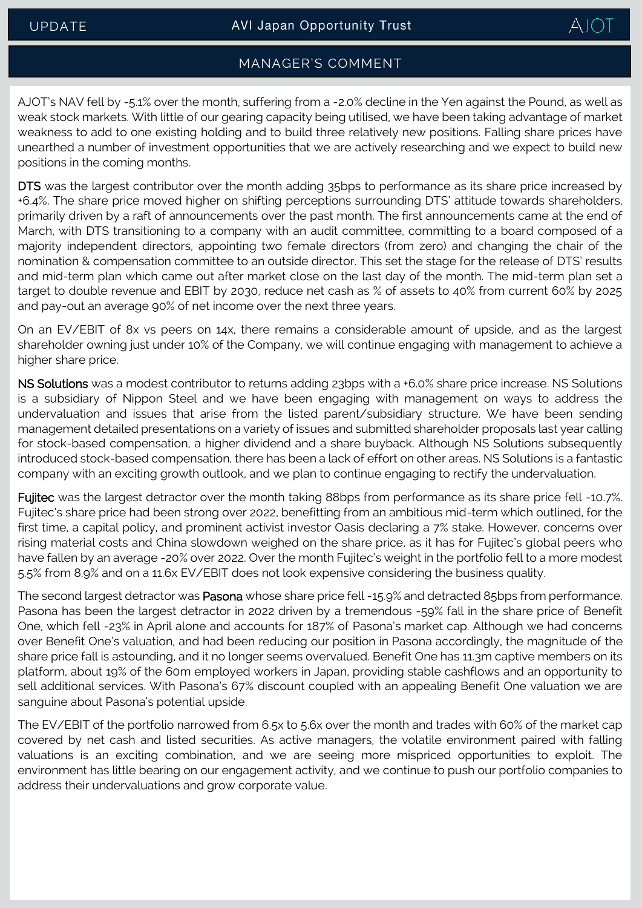# $AIOI$

# MANAGER'S COMMENT

<span id="page-1-0"></span>AJOT's NAV fell by -5.1% over the month, suffering from a -2.0% decline in the Yen against the Pound, as well as weak stock markets. With little of our gearing capacity being utilised, we have been taking advantage of market weakness to add to one existing holding and to build three relatively new positions. Falling share prices have unearthed a number of investment opportunities that we are actively researching and we expect to build new positions in the coming months.

DTS was the largest contributor over the month adding 35bps to performance as its share price increased by +6.4%. The share price moved higher on shifting perceptions surrounding DTS' attitude towards shareholders, primarily driven by a raft of announcements over the past month. The first announcements came at the end of March, with DTS transitioning to a company with an audit committee, committing to a board composed of a majority independent directors, appointing two female directors (from zero) and changing the chair of the nomination & compensation committee to an outside director. This set the stage for the release of DTS' results and mid-term plan which came out after market close on the last day of the month. The mid-term plan set a target to double revenue and EBIT by 2030, reduce net cash as % of assets to 40% from current 60% by 2025 and pay-out an average 90% of net income over the next three years.

On an EV/EBIT of 8x vs peers on 14x, there remains a considerable amount of upside, and as the largest shareholder owning just under 10% of the Company, we will continue engaging with management to achieve a higher share price.

NS Solutions was a modest contributor to returns adding 23bps with a +6.0% share price increase. NS Solutions is a subsidiary of Nippon Steel and we have been engaging with management on ways to address the undervaluation and issues that arise from the listed parent/subsidiary structure. We have been sending management detailed presentations on a variety of issues and submitted shareholder proposals last year calling for stock-based compensation, a higher dividend and a share buyback. Although NS Solutions subsequently introduced stock-based compensation, there has been a lack of effort on other areas. NS Solutions is a fantastic company with an exciting growth outlook, and we plan to continue engaging to rectify the undervaluation.

Fujitec was the largest detractor over the month taking 88bps from performance as its share price fell -10.7%. Fujitec's share price had been strong over 2022, benefitting from an ambitious mid-term which outlined, for the first time, a capital policy, and prominent activist investor Oasis declaring a 7% stake. However, concerns over rising material costs and China slowdown weighed on the share price, as it has for Fujitec's global peers who have fallen by an average -20% over 2022. Over the month Fujitec's weight in the portfolio fell to a more modest 5.5% from 8.9% and on a 11.6x EV/EBIT does not look expensive considering the business quality.

The second largest detractor was Pasona whose share price fell -15.9% and detracted 85bps from performance. Pasona has been the largest detractor in 2022 driven by a tremendous -59% fall in the share price of Benefit One, which fell -23% in April alone and accounts for 187% of Pasona's market cap. Although we had concerns over Benefit One's valuation, and had been reducing our position in Pasona accordingly, the magnitude of the share price fall is astounding, and it no longer seems overvalued. Benefit One has 11.3m captive members on its platform, about 19% of the 60m employed workers in Japan, providing stable cashflows and an opportunity to sell additional services. With Pasona's 67% discount coupled with an appealing Benefit One valuation we are sanguine about Pasona's potential upside.

The EV/EBIT of the portfolio narrowed from 6.5x to 5.6x over the month and trades with 60% of the market cap covered by net cash and listed securities. As active managers, the volatile environment paired with falling valuations is an exciting combination, and we are seeing more mispriced opportunities to exploit. The environment has little bearing on our engagement activity, and we continue to push our portfolio companies to address their undervaluations and grow corporate value.